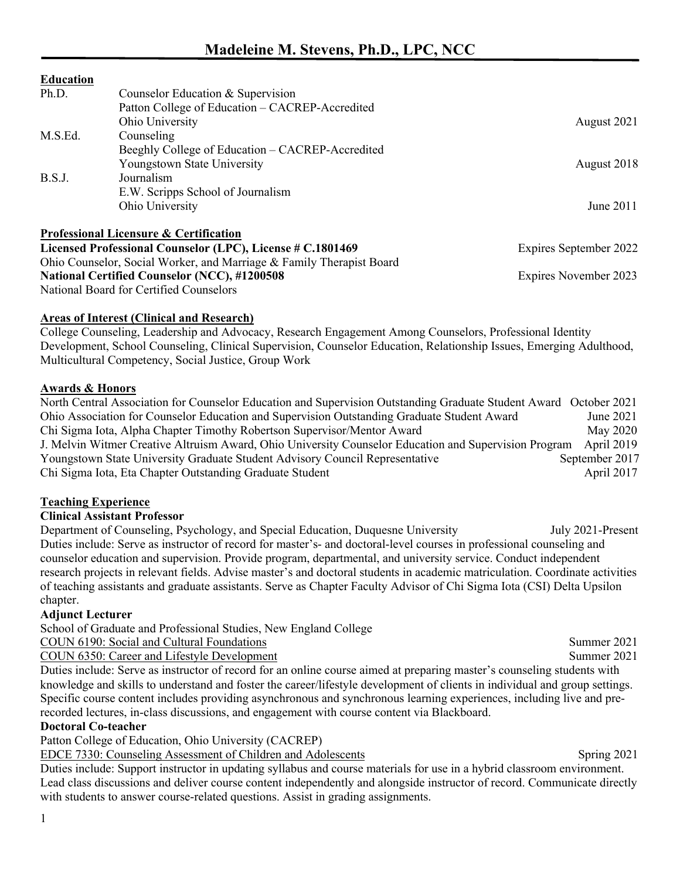## **Education**

| Ph.D.                                                      | Counselor Education & Supervision                                    |                        |
|------------------------------------------------------------|----------------------------------------------------------------------|------------------------|
|                                                            | Patton College of Education – CACREP-Accredited                      |                        |
|                                                            | Ohio University                                                      | August 2021            |
| M.S.Ed.                                                    | Counseling                                                           |                        |
|                                                            | Beeghly College of Education – CACREP-Accredited                     |                        |
|                                                            | Youngstown State University                                          | August 2018            |
| B.S.J.                                                     | Journalism                                                           |                        |
|                                                            | E.W. Scripps School of Journalism                                    |                        |
|                                                            | Ohio University                                                      | June 2011              |
|                                                            | Professional Licensure & Certification                               |                        |
| Licensed Professional Counselor (LPC), License # C.1801469 |                                                                      | Expires September 2022 |
|                                                            | Ohio Counselor, Social Worker, and Marriage & Family Therapist Board |                        |

**National Certified Counselor (NCC), #1200508** Expires November 2023

National Board for Certified Counselors

## **Areas of Interest (Clinical and Research)**

College Counseling, Leadership and Advocacy, Research Engagement Among Counselors, Professional Identity Development, School Counseling, Clinical Supervision, Counselor Education, Relationship Issues, Emerging Adulthood, Multicultural Competency, Social Justice, Group Work

## **Awards & Honors**

North Central Association for Counselor Education and Supervision Outstanding Graduate Student Award October 2021 Ohio Association for Counselor Education and Supervision Outstanding Graduate Student Award June 2021 Chi Sigma Iota, Alpha Chapter Timothy Robertson Supervisor/Mentor Award May 2020 J. Melvin Witmer Creative Altruism Award, Ohio University Counselor Education and Supervision Program April 2019 Youngstown State University Graduate Student Advisory Council Representative September 2017 Chi Sigma Iota, Eta Chapter Outstanding Graduate Student April 2017

## **Teaching Experience**

## **Clinical Assistant Professor**

Department of Counseling, Psychology, and Special Education, Duquesne University July 2021-Present Duties include: Serve as instructor of record for master's- and doctoral-level courses in professional counseling and counselor education and supervision. Provide program, departmental, and university service. Conduct independent research projects in relevant fields. Advise master's and doctoral students in academic matriculation. Coordinate activities of teaching assistants and graduate assistants. Serve as Chapter Faculty Advisor of Chi Sigma Iota (CSI) Delta Upsilon chapter.

## **Adjunct Lecturer**

School of Graduate and Professional Studies, New England College

COUN 6190: Social and Cultural Foundations Summer 2021

COUN 6350: Career and Lifestyle Development Summer 2021

Duties include: Serve as instructor of record for an online course aimed at preparing master's counseling students with knowledge and skills to understand and foster the career/lifestyle development of clients in individual and group settings. Specific course content includes providing asynchronous and synchronous learning experiences, including live and prerecorded lectures, in-class discussions, and engagement with course content via Blackboard.

## **Doctoral Co-teacher**

Patton College of Education, Ohio University (CACREP)

EDCE 7330: Counseling Assessment of Children and Adolescents Spring 2021

Duties include: Support instructor in updating syllabus and course materials for use in a hybrid classroom environment. Lead class discussions and deliver course content independently and alongside instructor of record. Communicate directly with students to answer course-related questions. Assist in grading assignments.

1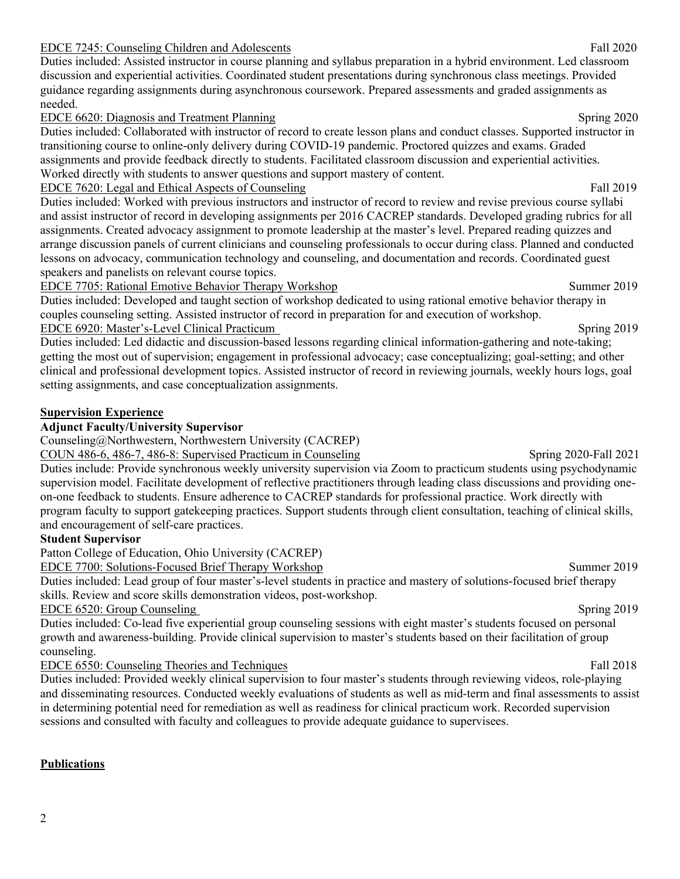#### EDCE 7245: Counseling Children and Adolescents Fall 2020

Duties included: Assisted instructor in course planning and syllabus preparation in a hybrid environment. Led classroom discussion and experiential activities. Coordinated student presentations during synchronous class meetings. Provided guidance regarding assignments during asynchronous coursework. Prepared assessments and graded assignments as needed.

#### EDCE 6620: Diagnosis and Treatment Planning Spring 2020

Duties included: Collaborated with instructor of record to create lesson plans and conduct classes. Supported instructor in transitioning course to online-only delivery during COVID-19 pandemic. Proctored quizzes and exams. Graded assignments and provide feedback directly to students. Facilitated classroom discussion and experiential activities. Worked directly with students to answer questions and support mastery of content.

EDCE 7620: Legal and Ethical Aspects of CounselingFall 2019

Duties included: Worked with previous instructors and instructor of record to review and revise previous course syllabi and assist instructor of record in developing assignments per 2016 CACREP standards. Developed grading rubrics for all assignments. Created advocacy assignment to promote leadership at the master's level. Prepared reading quizzes and arrange discussion panels of current clinicians and counseling professionals to occur during class. Planned and conducted lessons on advocacy, communication technology and counseling, and documentation and records. Coordinated guest speakers and panelists on relevant course topics.

EDCE 7705: Rational Emotive Behavior Therapy WorkshopSummer 2019

Duties included: Developed and taught section of workshop dedicated to using rational emotive behavior therapy in couples counseling setting. Assisted instructor of record in preparation for and execution of workshop. EDCE 6920: Master's-Level Clinical PracticumSpring 2019

Duties included: Led didactic and discussion-based lessons regarding clinical information-gathering and note-taking; getting the most out of supervision; engagement in professional advocacy; case conceptualizing; goal-setting; and other clinical and professional development topics. Assisted instructor of record in reviewing journals, weekly hours logs, goal setting assignments, and case conceptualization assignments.

#### **Supervision Experience**

#### **Adjunct Faculty/University Supervisor**

Counseling@Northwestern, Northwestern University (CACREP)

COUN 486-6, 486-7, 486-8: Supervised Practicum in Counseling Spring 2020-Fall 2021

Duties include: Provide synchronous weekly university supervision via Zoom to practicum students using psychodynamic supervision model. Facilitate development of reflective practitioners through leading class discussions and providing oneon-one feedback to students. Ensure adherence to CACREP standards for professional practice. Work directly with program faculty to support gatekeeping practices. Support students through client consultation, teaching of clinical skills, and encouragement of self-care practices.

#### **Student Supervisor**

Patton College of Education, Ohio University (CACREP)

EDCE 7700: Solutions-Focused Brief Therapy Workshop Summer 2019

Duties included: Lead group of four master's-level students in practice and mastery of solutions-focused brief therapy skills. Review and score skills demonstration videos, post-workshop.

EDCE 6520: Group Counseling Spring 2019

Duties included: Co-lead five experiential group counseling sessions with eight master's students focused on personal growth and awareness-building. Provide clinical supervision to master's students based on their facilitation of group counseling.

EDCE 6550: Counseling Theories and Techniques Fall 2018

Duties included: Provided weekly clinical supervision to four master's students through reviewing videos, role-playing and disseminating resources. Conducted weekly evaluations of students as well as mid-term and final assessments to assist in determining potential need for remediation as well as readiness for clinical practicum work. Recorded supervision sessions and consulted with faculty and colleagues to provide adequate guidance to supervisees.

## **Publications**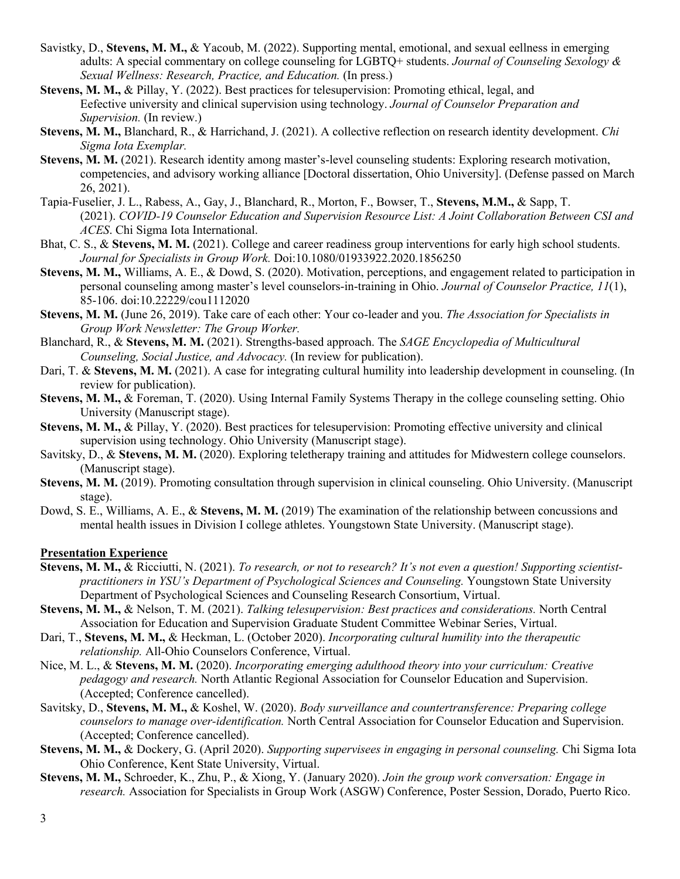- Savistky, D., **Stevens, M. M.,** & Yacoub, M. (2022). Supporting mental, emotional, and sexual eellness in emerging adults: A special commentary on college counseling for LGBTQ+ students. *Journal of Counseling Sexology & Sexual Wellness: Research, Practice, and Education.* (In press.)
- **Stevens, M. M.,** & Pillay, Y. (2022). Best practices for telesupervision: Promoting ethical, legal, and Eefective university and clinical supervision using technology. *Journal of Counselor Preparation and Supervision.* (In review.)
- **Stevens, M. M.,** Blanchard, R., & Harrichand, J. (2021). A collective reflection on research identity development. *Chi Sigma Iota Exemplar.*
- **Stevens, M. M.** (2021). Research identity among master's-level counseling students: Exploring research motivation, competencies, and advisory working alliance [Doctoral dissertation, Ohio University]. (Defense passed on March 26, 2021).
- Tapia-Fuselier, J. L., Rabess, A., Gay, J., Blanchard, R., Morton, F., Bowser, T., **Stevens, M.M.,** & Sapp, T. (2021). *COVID-19 Counselor Education and Supervision Resource List: A Joint Collaboration Between CSI and ACES*. Chi Sigma Iota International.
- Bhat, C. S., & **Stevens, M. M.** (2021). College and career readiness group interventions for early high school students. *Journal for Specialists in Group Work.* Doi:10.1080/01933922.2020.1856250
- **Stevens, M. M.,** Williams, A. E., & Dowd, S. (2020). Motivation, perceptions, and engagement related to participation in personal counseling among master's level counselors-in-training in Ohio. *Journal of Counselor Practice, 11*(1), 85-106. doi:10.22229/cou1112020
- **Stevens, M. M.** (June 26, 2019). Take care of each other: Your co-leader and you. *The Association for Specialists in Group Work Newsletter: The Group Worker.*
- Blanchard, R., & **Stevens, M. M.** (2021). Strengths-based approach. The *SAGE Encyclopedia of Multicultural Counseling, Social Justice, and Advocacy.* (In review for publication).
- Dari, T. & **Stevens, M. M.** (2021). A case for integrating cultural humility into leadership development in counseling. (In review for publication).
- **Stevens, M. M.,** & Foreman, T. (2020). Using Internal Family Systems Therapy in the college counseling setting. Ohio University (Manuscript stage).
- **Stevens, M. M.,** & Pillay, Y. (2020). Best practices for telesupervision: Promoting effective university and clinical supervision using technology. Ohio University (Manuscript stage).
- Savitsky, D., & **Stevens, M. M.** (2020). Exploring teletherapy training and attitudes for Midwestern college counselors. (Manuscript stage).
- **Stevens, M. M.** (2019). Promoting consultation through supervision in clinical counseling. Ohio University. (Manuscript stage).
- Dowd, S. E., Williams, A. E., & **Stevens, M. M.** (2019) The examination of the relationship between concussions and mental health issues in Division I college athletes. Youngstown State University. (Manuscript stage).

#### **Presentation Experience**

- **Stevens, M. M.,** & Ricciutti, N. (2021). *To research, or not to research? It's not even a question! Supporting scientistpractitioners in YSU's Department of Psychological Sciences and Counseling.* Youngstown State University Department of Psychological Sciences and Counseling Research Consortium, Virtual.
- **Stevens, M. M.,** & Nelson, T. M. (2021). *Talking telesupervision: Best practices and considerations.* North Central Association for Education and Supervision Graduate Student Committee Webinar Series, Virtual.
- Dari, T., **Stevens, M. M.,** & Heckman, L. (October 2020). *Incorporating cultural humility into the therapeutic relationship.* All-Ohio Counselors Conference, Virtual.
- Nice, M. L., & **Stevens, M. M.** (2020). *Incorporating emerging adulthood theory into your curriculum: Creative pedagogy and research.* North Atlantic Regional Association for Counselor Education and Supervision. (Accepted; Conference cancelled).
- Savitsky, D., **Stevens, M. M.,** & Koshel, W. (2020). *Body surveillance and countertransference: Preparing college counselors to manage over-identification.* North Central Association for Counselor Education and Supervision. (Accepted; Conference cancelled).
- **Stevens, M. M.,** & Dockery, G. (April 2020). *Supporting supervisees in engaging in personal counseling.* Chi Sigma Iota Ohio Conference, Kent State University, Virtual.
- **Stevens, M. M.,** Schroeder, K., Zhu, P., & Xiong, Y. (January 2020). *Join the group work conversation: Engage in research.* Association for Specialists in Group Work (ASGW) Conference, Poster Session, Dorado, Puerto Rico.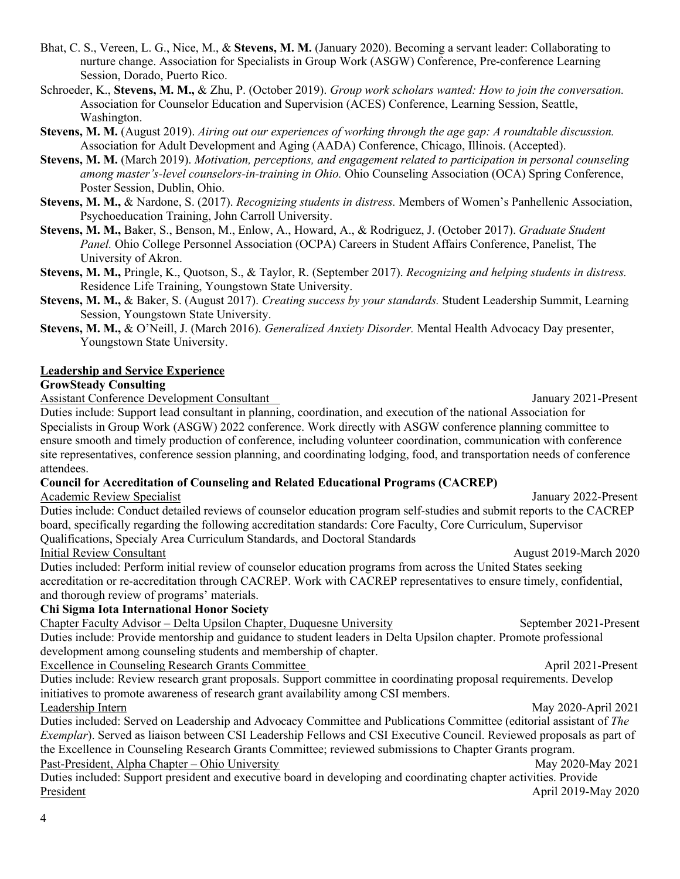4

Bhat, C. S., Vereen, L. G., Nice, M., & **Stevens, M. M.** (January 2020). Becoming a servant leader: Collaborating to nurture change. Association for Specialists in Group Work (ASGW) Conference, Pre-conference Learning Session, Dorado, Puerto Rico.

Schroeder, K., **Stevens, M. M.,** & Zhu, P. (October 2019). *Group work scholars wanted: How to join the conversation.*  Association for Counselor Education and Supervision (ACES) Conference, Learning Session, Seattle, Washington.

**Stevens, M. M.** (August 2019). *Airing out our experiences of working through the age gap: A roundtable discussion.* Association for Adult Development and Aging (AADA) Conference, Chicago, Illinois. (Accepted).

**Stevens, M. M.** (March 2019). *Motivation, perceptions, and engagement related to participation in personal counseling among master's-level counselors-in-training in Ohio.* Ohio Counseling Association (OCA) Spring Conference, Poster Session, Dublin, Ohio.

**Stevens, M. M.,** & Nardone, S. (2017). *Recognizing students in distress.* Members of Women's Panhellenic Association, Psychoeducation Training, John Carroll University.

**Stevens, M. M.,** Baker, S., Benson, M., Enlow, A., Howard, A., & Rodriguez, J. (October 2017). *Graduate Student Panel.* Ohio College Personnel Association (OCPA) Careers in Student Affairs Conference, Panelist, The University of Akron.

**Stevens, M. M.,** Pringle, K., Quotson, S., & Taylor, R. (September 2017). *Recognizing and helping students in distress.*  Residence Life Training, Youngstown State University.

**Stevens, M. M.,** & Baker, S. (August 2017). *Creating success by your standards.* Student Leadership Summit, Learning Session, Youngstown State University.

**Stevens, M. M.,** & O'Neill, J. (March 2016). *Generalized Anxiety Disorder.* Mental Health Advocacy Day presenter, Youngstown State University.

#### **Leadership and Service Experience**

#### **GrowSteady Consulting**

Assistant Conference Development Consultant January 2021-Present

Duties include: Support lead consultant in planning, coordination, and execution of the national Association for Specialists in Group Work (ASGW) 2022 conference. Work directly with ASGW conference planning committee to ensure smooth and timely production of conference, including volunteer coordination, communication with conference site representatives, conference session planning, and coordinating lodging, food, and transportation needs of conference attendees.

#### **Council for Accreditation of Counseling and Related Educational Programs (CACREP)**

Academic Review Specialist January 2022-Present

Duties include: Conduct detailed reviews of counselor education program self-studies and submit reports to the CACREP board, specifically regarding the following accreditation standards: Core Faculty, Core Curriculum, Supervisor Qualifications, Specialy Area Curriculum Standards, and Doctoral Standards

Initial Review Consultant August 2019-March 2020

Duties included: Perform initial review of counselor education programs from across the United States seeking accreditation or re-accreditation through CACREP. Work with CACREP representatives to ensure timely, confidential, and thorough review of programs' materials.

## **Chi Sigma Iota International Honor Society**

Chapter Faculty Advisor – Delta Upsilon Chapter, Duquesne University September 2021-Present Duties include: Provide mentorship and guidance to student leaders in Delta Upsilon chapter. Promote professional development among counseling students and membership of chapter.

Excellence in Counseling Research Grants Committee April 2021-Present

Duties include: Review research grant proposals. Support committee in coordinating proposal requirements. Develop initiatives to promote awareness of research grant availability among CSI members. Leadership Intern May 2020-April 2021

Duties included: Served on Leadership and Advocacy Committee and Publications Committee (editorial assistant of *The Exemplar*). Served as liaison between CSI Leadership Fellows and CSI Executive Council. Reviewed proposals as part of the Excellence in Counseling Research Grants Committee; reviewed submissions to Chapter Grants program. Past-President, Alpha Chapter – Ohio University May 2020-May 2021

Duties included: Support president and executive board in developing and coordinating chapter activities. Provide President April 2019-May 2020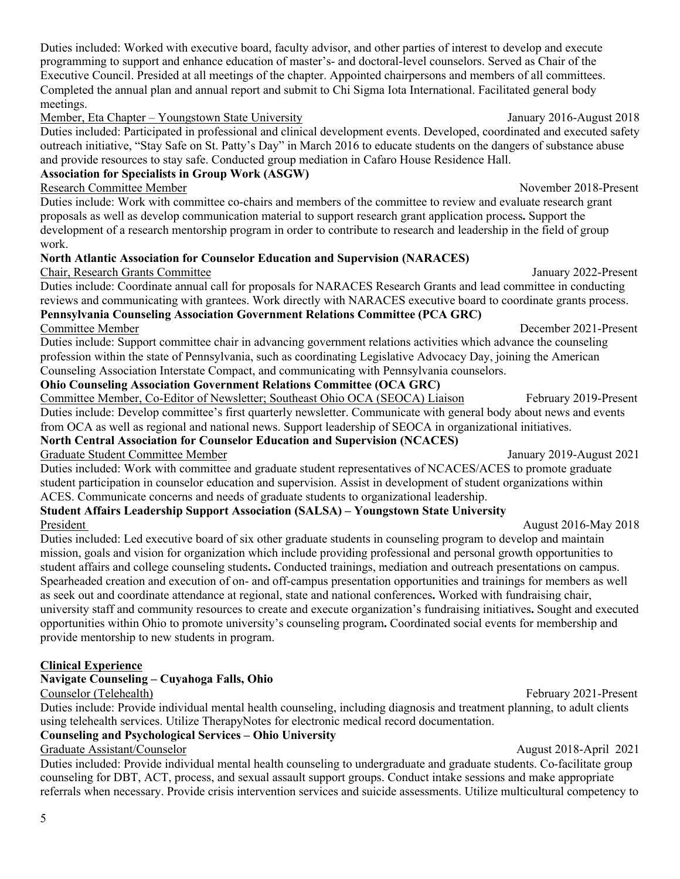Duties included: Worked with executive board, faculty advisor, and other parties of interest to develop and execute programming to support and enhance education of master's- and doctoral-level counselors. Served as Chair of the Executive Council. Presided at all meetings of the chapter. Appointed chairpersons and members of all committees. Completed the annual plan and annual report and submit to Chi Sigma Iota International. Facilitated general body meetings.

Member, Eta Chapter – Youngstown State University January 2016-August 2018

Duties included: Participated in professional and clinical development events. Developed, coordinated and executed safety outreach initiative, "Stay Safe on St. Patty's Day" in March 2016 to educate students on the dangers of substance abuse and provide resources to stay safe. Conducted group mediation in Cafaro House Residence Hall.

# **Association for Specialists in Group Work (ASGW)**

Research Committee Member November 2018-Present

Duties include: Work with committee co-chairs and members of the committee to review and evaluate research grant proposals as well as develop communication material to support research grant application process**.** Support the development of a research mentorship program in order to contribute to research and leadership in the field of group work.

# **North Atlantic Association for Counselor Education and Supervision (NARACES)**

# Chair, Research Grants Committee January 2022-Present

Duties include: Coordinate annual call for proposals for NARACES Research Grants and lead committee in conducting reviews and communicating with grantees. Work directly with NARACES executive board to coordinate grants process. **Pennsylvania Counseling Association Government Relations Committee (PCA GRC)**

Committee Member December 2021-Present Duties include: Support committee chair in advancing government relations activities which advance the counseling profession within the state of Pennsylvania, such as coordinating Legislative Advocacy Day, joining the American Counseling Association Interstate Compact, and communicating with Pennsylvania counselors.

# **Ohio Counseling Association Government Relations Committee (OCA GRC)**

Committee Member, Co-Editor of Newsletter; Southeast Ohio OCA (SEOCA) Liaison February 2019-Present Duties include: Develop committee's first quarterly newsletter. Communicate with general body about news and events from OCA as well as regional and national news. Support leadership of SEOCA in organizational initiatives.

# **North Central Association for Counselor Education and Supervision (NCACES)**

## Graduate Student Committee Member **January 2019-August 2021**

Duties included: Work with committee and graduate student representatives of NCACES/ACES to promote graduate student participation in counselor education and supervision. Assist in development of student organizations within ACES. Communicate concerns and needs of graduate students to organizational leadership.

## **Student Affairs Leadership Support Association (SALSA) – Youngstown State University** President August 2016-May 2018

## Duties included: Led executive board of six other graduate students in counseling program to develop and maintain mission, goals and vision for organization which include providing professional and personal growth opportunities to student affairs and college counseling students**.** Conducted trainings, mediation and outreach presentations on campus. Spearheaded creation and execution of on- and off-campus presentation opportunities and trainings for members as well as seek out and coordinate attendance at regional, state and national conferences**.** Worked with fundraising chair, university staff and community resources to create and execute organization's fundraising initiatives**.** Sought and executed opportunities within Ohio to promote university's counseling program**.** Coordinated social events for membership and provide mentorship to new students in program.

# **Clinical Experience**

# **Navigate Counseling – Cuyahoga Falls, Ohio**

# Counselor (Telehealth) February 2021-Present

Duties include: Provide individual mental health counseling, including diagnosis and treatment planning, to adult clients using telehealth services. Utilize TherapyNotes for electronic medical record documentation.

# **Counseling and Psychological Services – Ohio University**

# Graduate Assistant/Counselor August 2018-April 2021

Duties included: Provide individual mental health counseling to undergraduate and graduate students. Co-facilitate group counseling for DBT, ACT, process, and sexual assault support groups. Conduct intake sessions and make appropriate referrals when necessary. Provide crisis intervention services and suicide assessments. Utilize multicultural competency to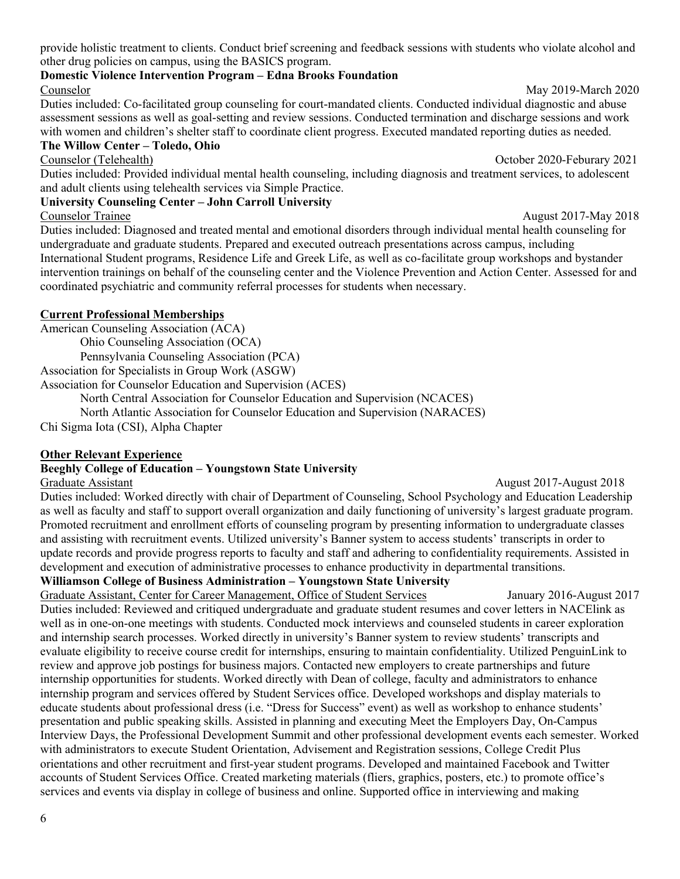provide holistic treatment to clients. Conduct brief screening and feedback sessions with students who violate alcohol and other drug policies on campus, using the BASICS program.

## **Domestic Violence Intervention Program – Edna Brooks Foundation**

## Counselor May 2019-March 2020

Duties included: Co-facilitated group counseling for court-mandated clients. Conducted individual diagnostic and abuse assessment sessions as well as goal-setting and review sessions. Conducted termination and discharge sessions and work with women and children's shelter staff to coordinate client progress. Executed mandated reporting duties as needed.

## **The Willow Center – Toledo, Ohio**

Counselor (Telehealth) October 2020-Feburary 2021

Duties included: Provided individual mental health counseling, including diagnosis and treatment services, to adolescent and adult clients using telehealth services via Simple Practice.

## **University Counseling Center – John Carroll University**

## Counselor Trainee August 2017-May 2018

Duties included: Diagnosed and treated mental and emotional disorders through individual mental health counseling for undergraduate and graduate students. Prepared and executed outreach presentations across campus, including International Student programs, Residence Life and Greek Life, as well as co-facilitate group workshops and bystander intervention trainings on behalf of the counseling center and the Violence Prevention and Action Center. Assessed for and coordinated psychiatric and community referral processes for students when necessary.

## **Current Professional Memberships**

American Counseling Association (ACA)

Ohio Counseling Association (OCA)

Pennsylvania Counseling Association (PCA)

Association for Specialists in Group Work (ASGW)

Association for Counselor Education and Supervision (ACES)

North Central Association for Counselor Education and Supervision (NCACES)

North Atlantic Association for Counselor Education and Supervision (NARACES)

Chi Sigma Iota (CSI), Alpha Chapter

## **Other Relevant Experience**

## **Beeghly College of Education – Youngstown State University**

Duties included: Worked directly with chair of Department of Counseling, School Psychology and Education Leadership as well as faculty and staff to support overall organization and daily functioning of university's largest graduate program. Promoted recruitment and enrollment efforts of counseling program by presenting information to undergraduate classes and assisting with recruitment events. Utilized university's Banner system to access students' transcripts in order to update records and provide progress reports to faculty and staff and adhering to confidentiality requirements. Assisted in development and execution of administrative processes to enhance productivity in departmental transitions.

**Williamson College of Business Administration – Youngstown State University**

Graduate Assistant, Center for Career Management, Office of Student Services January 2016-August 2017 Duties included: Reviewed and critiqued undergraduate and graduate student resumes and cover letters in NACElink as well as in one-on-one meetings with students. Conducted mock interviews and counseled students in career exploration and internship search processes. Worked directly in university's Banner system to review students' transcripts and evaluate eligibility to receive course credit for internships, ensuring to maintain confidentiality. Utilized PenguinLink to review and approve job postings for business majors. Contacted new employers to create partnerships and future internship opportunities for students. Worked directly with Dean of college, faculty and administrators to enhance internship program and services offered by Student Services office. Developed workshops and display materials to educate students about professional dress (i.e. "Dress for Success" event) as well as workshop to enhance students' presentation and public speaking skills. Assisted in planning and executing Meet the Employers Day, On-Campus Interview Days, the Professional Development Summit and other professional development events each semester. Worked with administrators to execute Student Orientation, Advisement and Registration sessions, College Credit Plus orientations and other recruitment and first-year student programs. Developed and maintained Facebook and Twitter accounts of Student Services Office. Created marketing materials (fliers, graphics, posters, etc.) to promote office's services and events via display in college of business and online. Supported office in interviewing and making

Graduate Assistant **August 2017**-August 2018